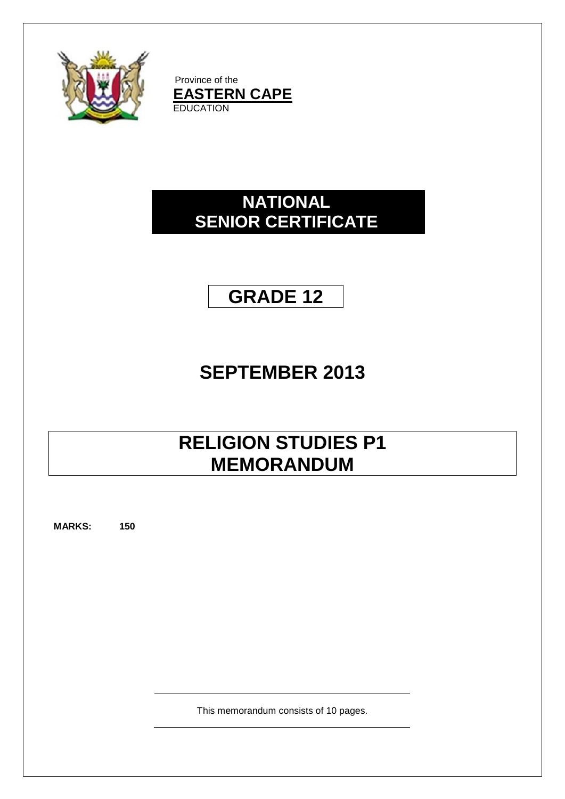

Province of the **EASTERN CAPE** EDUCATION

# **NATIONAL SENIOR CERTIFICATE**

# **GRADE 12**

# **SEPTEMBER 2013**

# **RELIGION STUDIES P1 MEMORANDUM**

**MARKS: 150**

This memorandum consists of 10 pages.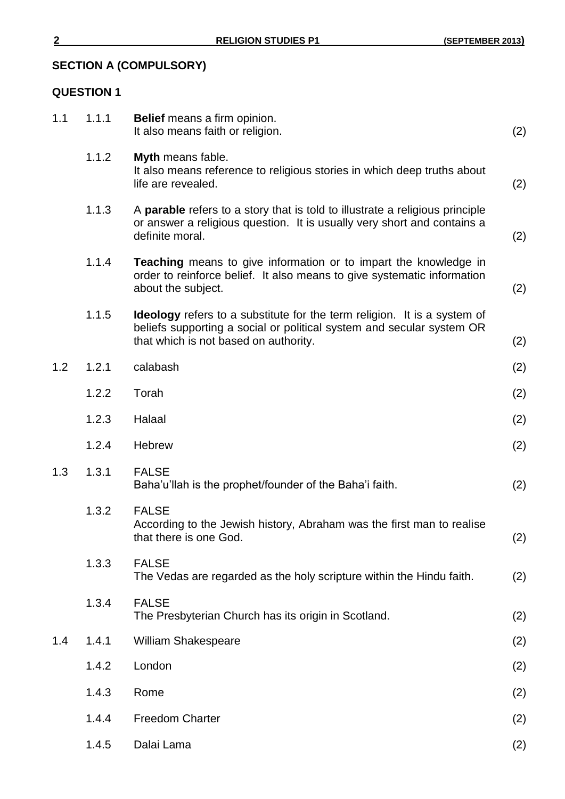## **SECTION A (COMPULSORY)**

## **QUESTION 1**

| 1.1 | 1.1.1 | Belief means a firm opinion.<br>It also means faith or religion.                                                                                                                                  | (2) |
|-----|-------|---------------------------------------------------------------------------------------------------------------------------------------------------------------------------------------------------|-----|
|     | 1.1.2 | Myth means fable.<br>It also means reference to religious stories in which deep truths about<br>life are revealed.                                                                                | (2) |
|     | 1.1.3 | A <b>parable</b> refers to a story that is told to illustrate a religious principle<br>or answer a religious question. It is usually very short and contains a<br>definite moral.                 | (2) |
|     | 1.1.4 | <b>Teaching</b> means to give information or to impart the knowledge in<br>order to reinforce belief. It also means to give systematic information<br>about the subject.                          | (2) |
|     | 1.1.5 | <b>Ideology</b> refers to a substitute for the term religion. It is a system of<br>beliefs supporting a social or political system and secular system OR<br>that which is not based on authority. | (2) |
| 1.2 | 1.2.1 | calabash                                                                                                                                                                                          | (2) |
|     | 1.2.2 | Torah                                                                                                                                                                                             | (2) |
|     | 1.2.3 | Halaal                                                                                                                                                                                            | (2) |
|     | 1.2.4 | Hebrew                                                                                                                                                                                            | (2) |
| 1.3 | 1.3.1 | <b>FALSE</b><br>Baha'u'llah is the prophet/founder of the Baha'i faith.                                                                                                                           | (2) |
|     | 1.3.2 | <b>FALSE</b><br>According to the Jewish history, Abraham was the first man to realise<br>that there is one God.                                                                                   | (2) |
|     | 1.3.3 | <b>FALSE</b><br>The Vedas are regarded as the holy scripture within the Hindu faith.                                                                                                              | (2) |
|     | 1.3.4 | <b>FALSE</b><br>The Presbyterian Church has its origin in Scotland.                                                                                                                               | (2) |
| 1.4 | 1.4.1 | <b>William Shakespeare</b>                                                                                                                                                                        | (2) |
|     | 1.4.2 | London                                                                                                                                                                                            | (2) |
|     | 1.4.3 | Rome                                                                                                                                                                                              | (2) |
|     | 1.4.4 | <b>Freedom Charter</b>                                                                                                                                                                            | (2) |
|     | 1.4.5 | Dalai Lama                                                                                                                                                                                        | (2) |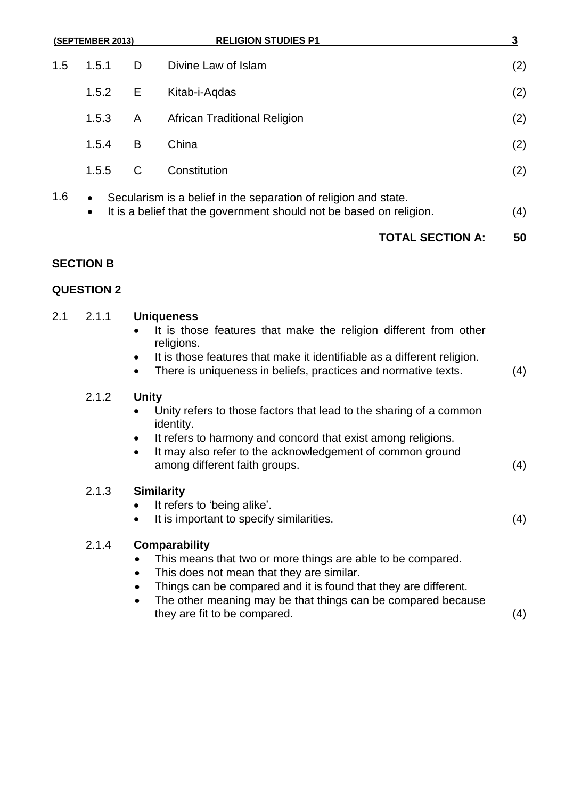| (SEPTEMBER 2013) |                        |    | <b>RELIGION STUDIES P1</b>                                                                                                             | 3   |
|------------------|------------------------|----|----------------------------------------------------------------------------------------------------------------------------------------|-----|
| 1.5              | 1.5.1                  | D  | Divine Law of Islam                                                                                                                    | (2) |
|                  | 1.5.2                  | E. | Kitab-i-Aqdas                                                                                                                          | (2) |
|                  | 1.5.3                  | A  | <b>African Traditional Religion</b>                                                                                                    | (2) |
|                  | 1.5.4                  | B  | China                                                                                                                                  | (2) |
|                  | 1.5.5                  | C  | Constitution                                                                                                                           | (2) |
| 1.6              | $\bullet$<br>$\bullet$ |    | Secularism is a belief in the separation of religion and state.<br>It is a belief that the government should not be based on religion. | (4) |

## **TOTAL SECTION A: 50**

## **SECTION B**

## **QUESTION 2**

## 2.1 2.1.1 **Uniqueness**

- It is those features that make the religion different from other religions.
- It is those features that make it identifiable as a different religion.
- There is uniqueness in beliefs, practices and normative texts. (4)

## 2.1.2 **Unity**

- Unity refers to those factors that lead to the sharing of a common identity.
- It refers to harmony and concord that exist among religions.
- It may also refer to the acknowledgement of common ground among different faith groups. (4)

## 2.1.3 **Similarity**

- It refers to 'being alike'.
- It is important to specify similarities. (4)

## 2.1.4 **Comparability**

- This means that two or more things are able to be compared.
- This does not mean that they are similar.
- Things can be compared and it is found that they are different.
- The other meaning may be that things can be compared because they are fit to be compared. (4)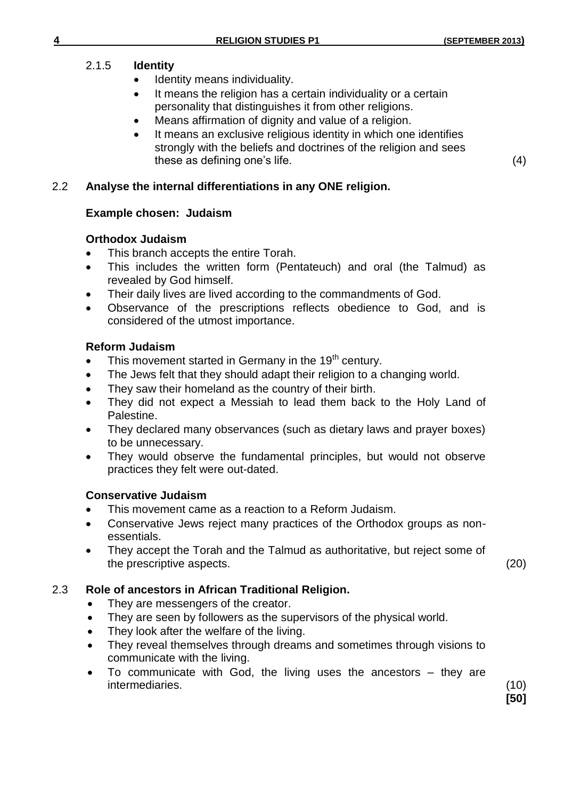## 2.1.5 **Identity**

- Identity means individuality.
- It means the religion has a certain individuality or a certain personality that distinguishes it from other religions.
- Means affirmation of dignity and value of a religion.
- It means an exclusive religious identity in which one identifies strongly with the beliefs and doctrines of the religion and sees these as defining one's life. (4)

## 2.2 **Analyse the internal differentiations in any ONE religion.**

## **Example chosen: Judaism**

## **Orthodox Judaism**

- This branch accepts the entire Torah.
- This includes the written form (Pentateuch) and oral (the Talmud) as revealed by God himself.
- Their daily lives are lived according to the commandments of God.
- Observance of the prescriptions reflects obedience to God, and is considered of the utmost importance.

## **Reform Judaism**

- This movement started in Germany in the 19<sup>th</sup> century.
- The Jews felt that they should adapt their religion to a changing world.
- They saw their homeland as the country of their birth.
- They did not expect a Messiah to lead them back to the Holy Land of Palestine.
- They declared many observances (such as dietary laws and prayer boxes) to be unnecessary.
- They would observe the fundamental principles, but would not observe practices they felt were out-dated.

## **Conservative Judaism**

- This movement came as a reaction to a Reform Judaism.
- Conservative Jews reject many practices of the Orthodox groups as nonessentials.
- They accept the Torah and the Talmud as authoritative, but reject some of the prescriptive aspects. (20)

**[50]**

## 2.3 **Role of ancestors in African Traditional Religion.**

- They are messengers of the creator.
- They are seen by followers as the supervisors of the physical world.
- They look after the welfare of the living.
- They reveal themselves through dreams and sometimes through visions to communicate with the living.
- To communicate with God, the living uses the ancestors they are intermediaries. (10)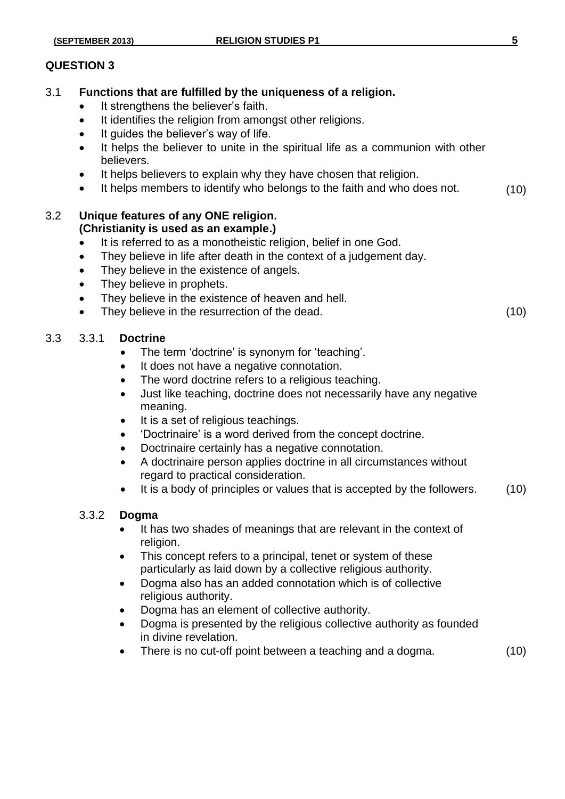### **QUESTION 3**

- 3.1 **Functions that are fulfilled by the uniqueness of a religion.**
	- It strengthens the believer's faith.
	- It identifies the religion from amongst other religions.
	- It guides the believer's way of life.
	- It helps the believer to unite in the spiritual life as a communion with other believers.
	- It helps believers to explain why they have chosen that religion.
	- It helps members to identify who belongs to the faith and who does not. (10)

### 3.2 **Unique features of any ONE religion. (Christianity is used as an example.)**

- It is referred to as a monotheistic religion, belief in one God.
- They believe in life after death in the context of a judgement day.
- They believe in the existence of angels.
- They believe in prophets.
- They believe in the existence of heaven and hell.
- They believe in the resurrection of the dead. (10)

## 3.3 3.3.1 **Doctrine**

- The term 'doctrine' is synonym for 'teaching'.
- It does not have a negative connotation.
- The word doctrine refers to a religious teaching.
- Just like teaching, doctrine does not necessarily have any negative meaning.
- It is a set of religious teachings.
- 'Doctrinaire' is a word derived from the concept doctrine.
- Doctrinaire certainly has a negative connotation.
- A doctrinaire person applies doctrine in all circumstances without regard to practical consideration.
- It is a body of principles or values that is accepted by the followers. (10)

## 3.3.2 **Dogma**

- It has two shades of meanings that are relevant in the context of religion.
- This concept refers to a principal, tenet or system of these particularly as laid down by a collective religious authority.
- Dogma also has an added connotation which is of collective religious authority.
- Dogma has an element of collective authority.
- Dogma is presented by the religious collective authority as founded in divine revelation.
- There is no cut-off point between a teaching and a dogma. (10)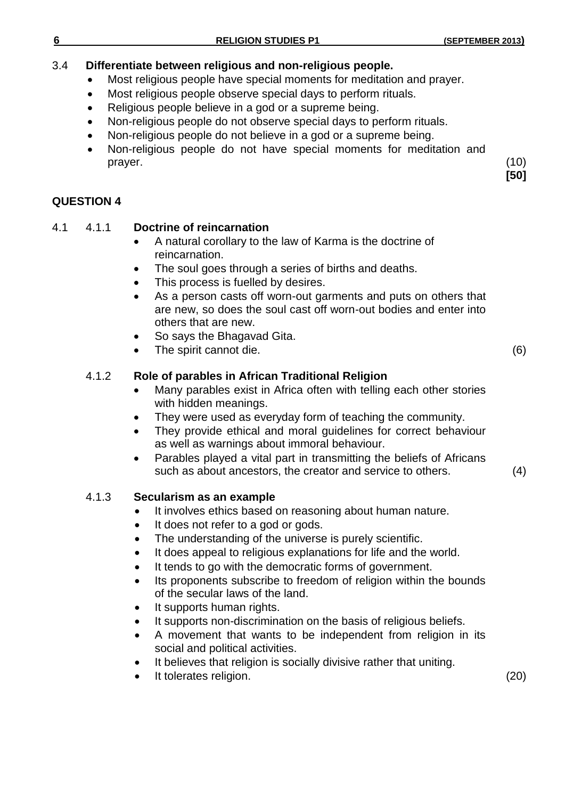## 3.4 **Differentiate between religious and non-religious people.**

- Most religious people have special moments for meditation and prayer.
- Most religious people observe special days to perform rituals.
- Religious people believe in a god or a supreme being.
- Non-religious people do not observe special days to perform rituals.
- Non-religious people do not believe in a god or a supreme being.
- Non-religious people do not have special moments for meditation and prayer. (10)

**QUESTION 4**

## 4.1 4.1.1 **Doctrine of reincarnation**

- A natural corollary to the law of Karma is the doctrine of reincarnation.
- The soul goes through a series of births and deaths.
- This process is fuelled by desires.
- As a person casts off worn-out garments and puts on others that are new, so does the soul cast off worn-out bodies and enter into others that are new.
- So says the Bhagavad Gita.
- The spirit cannot die. (6)

## 4.1.2 **Role of parables in African Traditional Religion**

- Many parables exist in Africa often with telling each other stories with hidden meanings.
- They were used as everyday form of teaching the community.
- They provide ethical and moral guidelines for correct behaviour as well as warnings about immoral behaviour.
- Parables played a vital part in transmitting the beliefs of Africans such as about ancestors, the creator and service to others.

(4)

## 4.1.3 **Secularism as an example**

- It involves ethics based on reasoning about human nature.
- It does not refer to a god or gods.
- The understanding of the universe is purely scientific.
- It does appeal to religious explanations for life and the world.
- It tends to go with the democratic forms of government.
- Its proponents subscribe to freedom of religion within the bounds of the secular laws of the land.
- It supports human rights.
- It supports non-discrimination on the basis of religious beliefs.
- A movement that wants to be independent from religion in its social and political activities.
- It believes that religion is socially divisive rather that uniting.
- It tolerates religion. (20)

**[50]**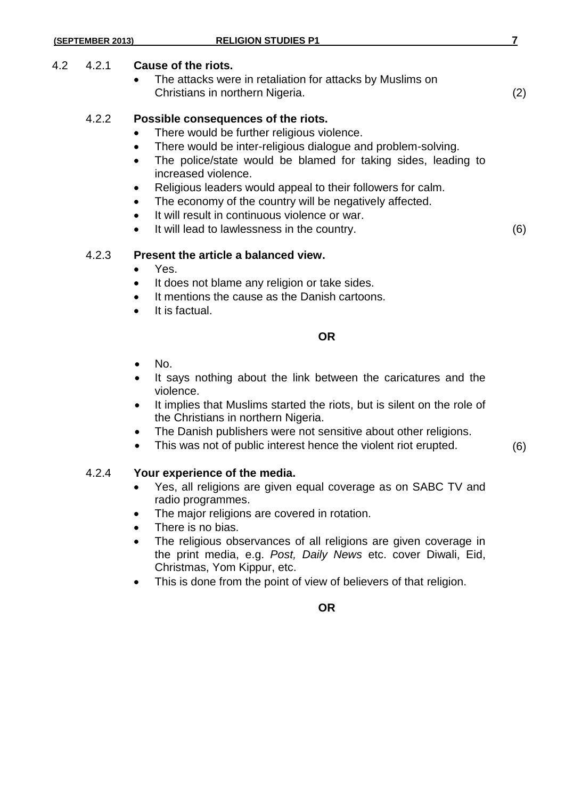### 4.2 4.2.1 **Cause of the riots.**

 The attacks were in retaliation for attacks by Muslims on Christians in northern Nigeria. (2)

### 4.2.2 **Possible consequences of the riots.**

- There would be further religious violence.
- There would be inter-religious dialogue and problem-solving.
- The police/state would be blamed for taking sides, leading to increased violence.
- Religious leaders would appeal to their followers for calm.
- The economy of the country will be negatively affected.
- It will result in continuous violence or war.
- It will lead to lawlessness in the country. (6)

### 4.2.3 **Present the article a balanced view.**

- Yes.
- It does not blame any religion or take sides.
- It mentions the cause as the Danish cartoons.
- It is factual.

### **OR**

- No.
- It says nothing about the link between the caricatures and the violence.
- It implies that Muslims started the riots, but is silent on the role of the Christians in northern Nigeria.
- The Danish publishers were not sensitive about other religions.
- This was not of public interest hence the violent riot erupted. (6)

## 4.2.4 **Your experience of the media.**

- Yes, all religions are given equal coverage as on SABC TV and radio programmes.
- The major religions are covered in rotation.
- There is no bias.
- The religious observances of all religions are given coverage in the print media, e.g. *Post, Daily News* etc. cover Diwali, Eid, Christmas, Yom Kippur, etc.
- This is done from the point of view of believers of that religion.

**OR**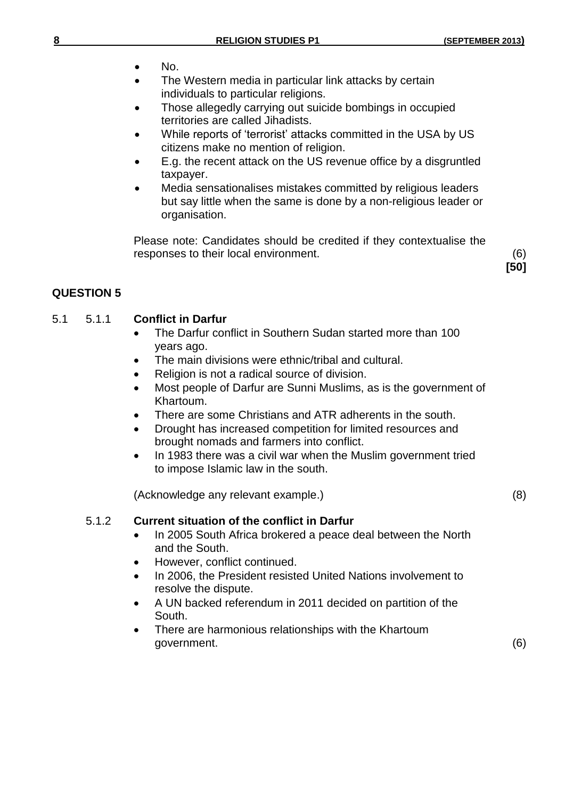- $\bullet$  No.
- The Western media in particular link attacks by certain individuals to particular religions.
- Those allegedly carrying out suicide bombings in occupied territories are called Jihadists.
- While reports of 'terrorist' attacks committed in the USA by US citizens make no mention of religion.
- E.g. the recent attack on the US revenue office by a disgruntled taxpayer.
- Media sensationalises mistakes committed by religious leaders but say little when the same is done by a non-religious leader or organisation.

Please note: Candidates should be credited if they contextualise the responses to their local environment. (6)

**[50]**

## **QUESTION 5**

## 5.1 5.1.1 **Conflict in Darfur**

- The Darfur conflict in Southern Sudan started more than 100 years ago.
- The main divisions were ethnic/tribal and cultural.
- Religion is not a radical source of division.
- Most people of Darfur are Sunni Muslims, as is the government of Khartoum.
- There are some Christians and ATR adherents in the south.
- Drought has increased competition for limited resources and brought nomads and farmers into conflict.
- In 1983 there was a civil war when the Muslim government tried to impose Islamic law in the south.

(Acknowledge any relevant example.) (8)

## 5.1.2 **Current situation of the conflict in Darfur**

- In 2005 South Africa brokered a peace deal between the North and the South.
- However, conflict continued.
- In 2006, the President resisted United Nations involvement to resolve the dispute.
- A UN backed referendum in 2011 decided on partition of the South.
- There are harmonious relationships with the Khartoum government. (6)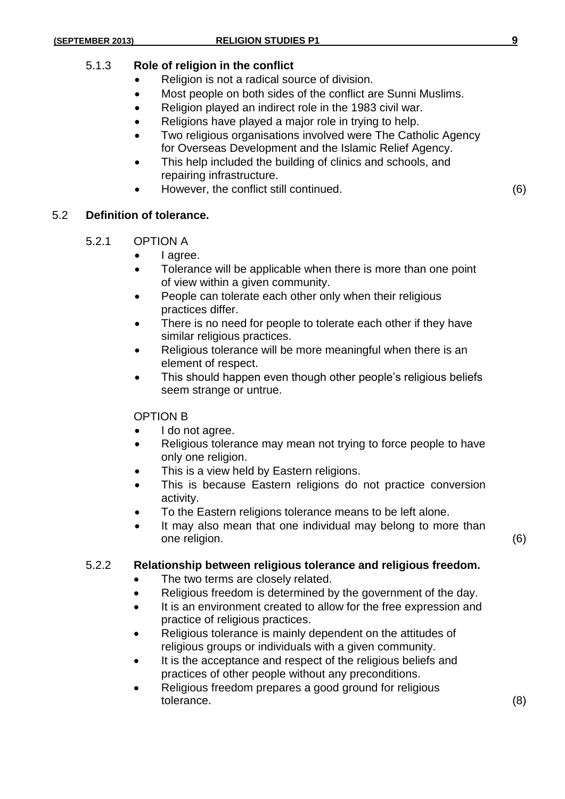## 5.1.3 **Role of religion in the conflict**

- Religion is not a radical source of division.
- Most people on both sides of the conflict are Sunni Muslims.
- Religion played an indirect role in the 1983 civil war.
- Religions have played a major role in trying to help.
- Two religious organisations involved were The Catholic Agency for Overseas Development and the Islamic Relief Agency.
- This help included the building of clinics and schools, and repairing infrastructure.
- However, the conflict still continued. (6)

## 5.2 **Definition of tolerance.**

- 5.2.1 OPTION A
	- I agree.
	- Tolerance will be applicable when there is more than one point of view within a given community.
	- People can tolerate each other only when their religious practices differ.
	- There is no need for people to tolerate each other if they have similar religious practices.
	- Religious tolerance will be more meaningful when there is an element of respect.
	- This should happen even though other people's religious beliefs seem strange or untrue.

## OPTION B

- I do not agree.
- Religious tolerance may mean not trying to force people to have only one religion.
- This is a view held by Eastern religions.
- This is because Eastern religions do not practice conversion activity.
- To the Eastern religions tolerance means to be left alone.
- It may also mean that one individual may belong to more than one religion. (6)

## 5.2.2 **Relationship between religious tolerance and religious freedom.**

- The two terms are closely related.
- Religious freedom is determined by the government of the day.
- It is an environment created to allow for the free expression and practice of religious practices.
- Religious tolerance is mainly dependent on the attitudes of religious groups or individuals with a given community.
- It is the acceptance and respect of the religious beliefs and practices of other people without any preconditions.
- Religious freedom prepares a good ground for religious tolerance. (8)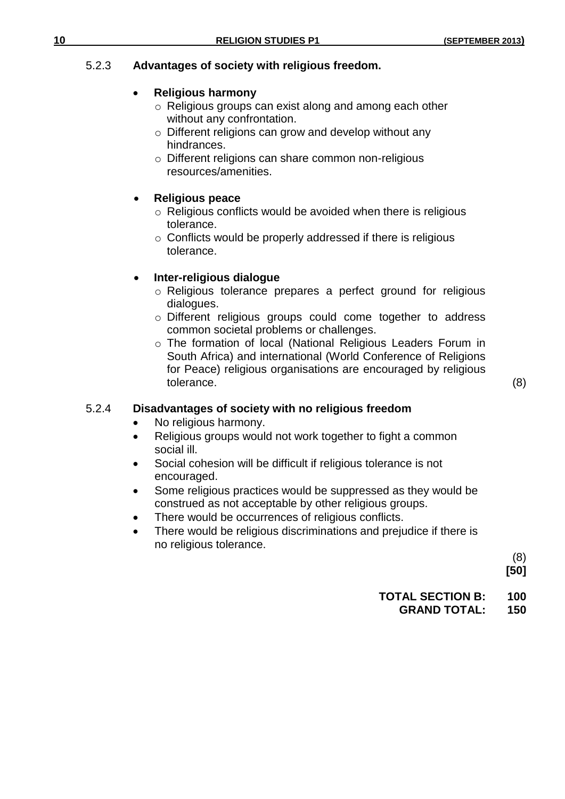## 5.2.3 **Advantages of society with religious freedom.**

## **Religious harmony**

- o Religious groups can exist along and among each other without any confrontation.
- o Different religions can grow and develop without any hindrances.
- o Different religions can share common non-religious resources/amenities.

## **Religious peace**

- o Religious conflicts would be avoided when there is religious tolerance.
- o Conflicts would be properly addressed if there is religious tolerance.

## **Inter-religious dialogue**

- o Religious tolerance prepares a perfect ground for religious dialogues.
- o Different religious groups could come together to address common societal problems or challenges.
- o The formation of local (National Religious Leaders Forum in South Africa) and international (World Conference of Religions for Peace) religious organisations are encouraged by religious tolerance. (8)

## 5.2.4 **Disadvantages of society with no religious freedom**

- No religious harmony.
- Religious groups would not work together to fight a common social ill.
- Social cohesion will be difficult if religious tolerance is not encouraged.
- Some religious practices would be suppressed as they would be construed as not acceptable by other religious groups.
- There would be occurrences of religious conflicts.
- There would be religious discriminations and prejudice if there is no religious tolerance.

(8) **[50]**

## **TOTAL SECTION B: 100**

## **GRAND TOTAL: 150**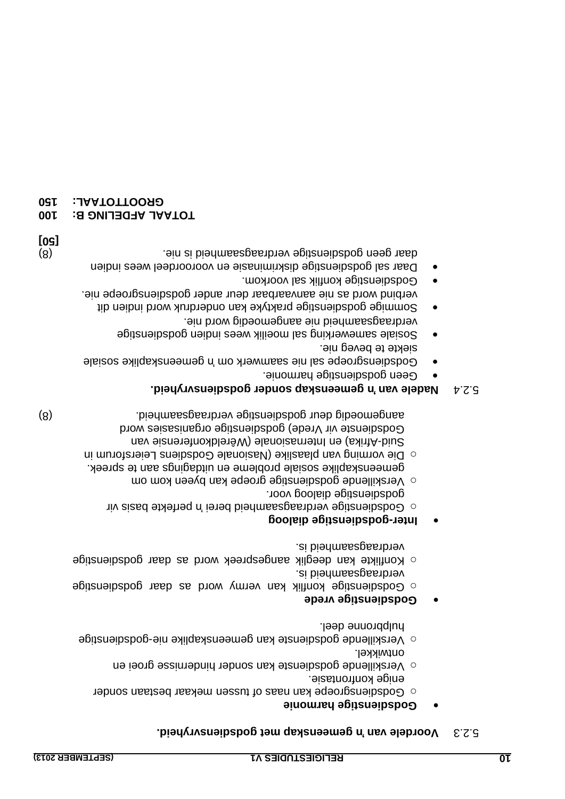### **bient verdele van 'n gemeenskap met godsdiensvryheid.**

### **Godsdienstige harmonie**

- $\circ$  Godsdiensgroepe kan naas of tussen mekaar bestaan sonder
- enige konfrontasie.  $\circ$  Verskillende godsdienste kan sonder hindernisse groei en ontwikkel.
- $\circ$  Aerskillende godsdienste kan gemeenskaplike nie-godsdienstige hulppronne deel.

## **Godsdienstige vrede**

- $\circ$  Godsdienstige konflik kan vermy word as daar godsdienstige verdraagsaamheid is.
- $\circ$  Konflikte kan deeglik aangespreek word as daar godsdienstige verdraagsaamheid is.

## **godsdienstige dialoog - Inter**

- $\circ$  Godsdienstige verdraagsaamheid berei nir perfekte basis vir godsdienstige dialoog voor.
- $\circ$  Verskillende godsdienstige groepe kan dyeen kom om gemeenskaplike sosiale probleme en uitdagings aan te spreek.
- orum in f Die vorming van blaaslike (Nasionale Godsdiens Leiersforum in Suid-Afrika) en Internasionale (Wêreldkonfensie van Godsienste vir Vrede) godsdienste vorganisasies word (8) aangemoedig deur godsdienstige verdraagsaamheid.

## **bishap of the van 'n gemeenskap sonder godsdiensvryheid.**

- Geen godsdienstige harmonie.
- Godsdiensgroepe sal nie saamwerk om 'n gemeenskaplike sosiale siekte te beveg nie.
- Sosiale samewerking sal moeilik wees indien godsdienstige verdraagsaamheid nie aangemoedig word nie.
- Sommige godsdienstige praktyke kan onderdruk word indien dit verbind word as nie aanvaarbaar deur ander godsdiensgroepe nie.
- Godsdienstige konflik sal voorkom. Daar sal godsdienstige diskriminasie en vooroordeel wees indien
- (8) odsdienstige verdraagsaamheid is nie. g daar geen **[50]**

## **100 TOTAAL AFDELING B:**

## **150 GROOTTOTAAL:**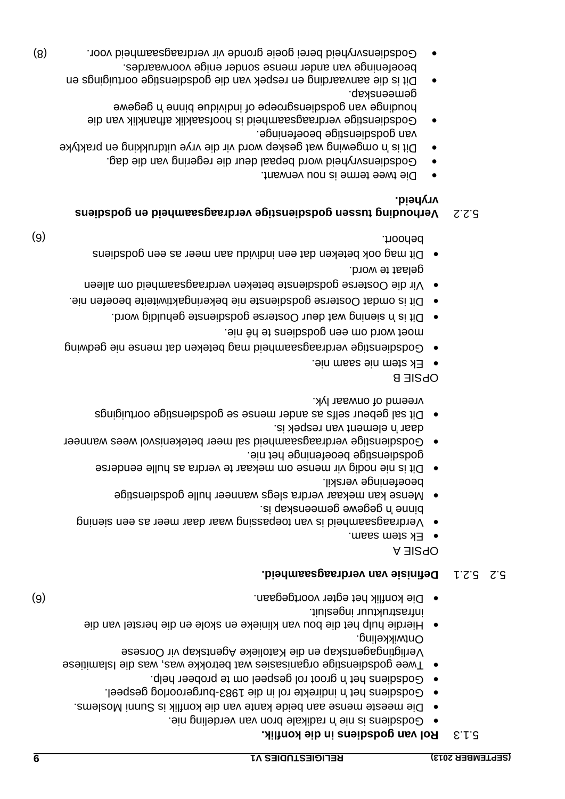## **S.1.3 Rol van godsdiens in die konflik.**

- Godsehens is nie 'n dikale bron van verdeling nie.
- Die meeste mense aan beide kante van die konflik is Sunni Moslems.
- · Godsdiens het 'n indirekte rol in die 1983-burgeroorlog gespeel.
- Godsdiens het 'n groot rol gespeel om te probeer help. • Twee godsdienstige organisasies wat betrokke was, was die Islamitiese
- Verligtingagentskap en die Katolieke Agentskap vir Oorsese Ontwikkeling.
- Hierdie hulp het die bou van klinieke en skole en die herstel van die infrastruktuur ingesluit.
- (6) Die konflik het egter voortgegaan.

## **Definisie van verdraagsaamheid.** 5.2.1 5.2

OPSIE A

- Ek stem saam.
- ing n sie Verdraagsaamheid is van toepassing waar daar meer as een
- binne 'n gegewe gemeenskap is. • Mense kan mekaar verdra slegs wanneer hulle godsdienstige
- beoefeninge verskil. Dit is nie nodig vir mense om mekaar te verdra as hulle eenderse
- godsdienstige beoefeninge het nie. Godsdienstige verdraagsaamheid sal meer betekenisvol wees wanneer ent is entement van respek is.
- Dit sal gebeur selfs as ander mense se godshenstige oortuigings vreemd of onwaar lyk.

OPSIE B

- Ek stem nie saam nie.
- Godsdienstige verdraagsaamheid mag beteken dat mense nie gedwing
- moet word om een godsbiens te hê nie. Dit is 'n giening wat deur Oosterse godsdienste gehuldig word.
- Dit is omdat Oosterse godsdienste nie bekeringaktiwiteite beoefen nie.
- osterse godsdienste beteken verdraagsaamheid om alleen O Vir die gelaat te word.
- er as een gods per gen gen gods dat dat meer as een godsdiens behoort. (6)

## **Verhouding tussen godsdienstige verdraagsaamheid en godsdiens** 5.2.2 **vryheid.**

- Die twee terme is nou verwant.
- Godsdiensvryheid word bepaal deur die regering van die dag. Dit is 'n omgewing wat geskep word vir die vrye uitdrukking en praktyke
- van godsdienstige beoefeninge. Godsdienstige verdraagsaamheid is hoofsaaklik afhanklik van die
- houdinge van godsdiensgroepe of individue binne 'n gegewe gemeenskap.
- uigings en Dit is die aanvaarding en respek van die en bie gods en respekting van die gods en respektiese oor beoefeninge van ander mense sonder enige voorwaardes.
- (8) Godsdiensvryheid berei goeie gronde vir verdraagsaamheid voor.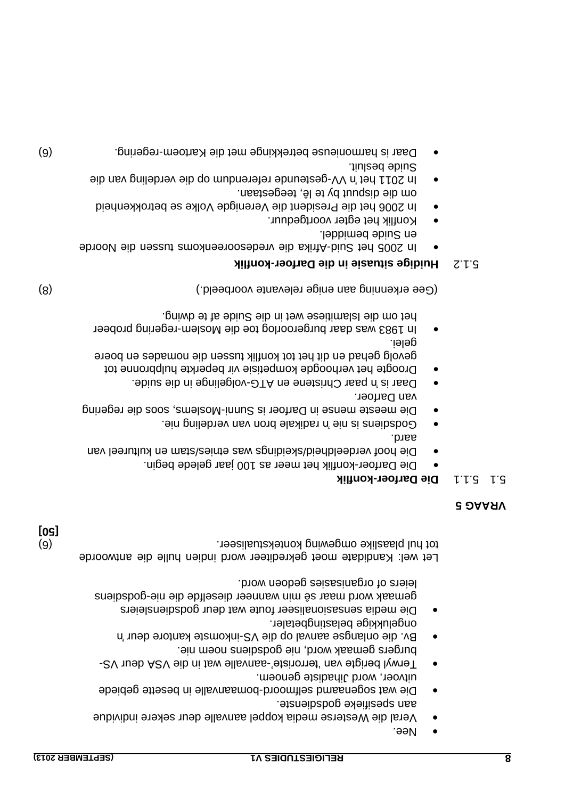**[50]**

- Nee.
- Veral die Westerse media koppel aanvalle deur sekere individue aan spesifieke godsdienste.
- Die wat sogenaamd selfmoord-bomaanvalle in besette gebiede uitvoer, word Jihadiste genoem.
- Terwyl berigte van 'terroriste'-aanvalle wat in die ASV deur VSburgers gemaak word, nie godsdiens noem nie.
- Bv. die onlangse aanval op die VS-inkomste kantore deur 'n ongelukkige belastingbetaler.
- Die media sensasionaliseer foute wat deur godsdiensleiers gemaak word maar sê min wanneer dieselfde die nie godschens leiers of organisasies gedoen word.

Let wel: Kandidate moet gekrediteer word indien hulle die antwoorde (6) . tot hul plaaslike omgewing kontekstualiseer

## **VRAAG 5**

## **konflik - Die Darfoer** 5.1.1 5.1

- Die Darfoer-konflik het meer as 100 jaar gelede begin.
- Die hoof verdeeldheid/skeidings was etnies/stam en kultureel van aard.
- Godschale is nie in dikale bron van verdeling nie.
- Die meeste mense in Darfoer is Sunni-Moslems, soos die regering van Darfoer.
- be is worder in die suide. On the suide in die suide.
- Droogte het verhoogde kompetisie vir beperkte hulpbronne tot gevolg gehad en dit het tot konflik tussen die nomades en boere gelei.
- In 1983 was daar burgeroorlog toe die Moslem-regering probeer het om die Islamitiese wet in die Suide af te dwing.

(8) (8) (8) (8) isotopeeld (Gee erkenning aan enige relevante voorbeeld.)

## **konflik - Huidige situasie in die Darfoer** 5.1.2

- Afrika die vriedesooreenkoms die vroude en Suide bemiddel.
- Konflik het egter voortgeduur.
- In 2006 het die President die Verenigde Volke se betrokkenheid
- om die dispuut by te lê, teegestaan. ln 2011 het 'n VV-gesteunde referendum op die verdeling van die Suide besluit.
- Daar is harmonieuse betrekkinge met die Kartoem-regering.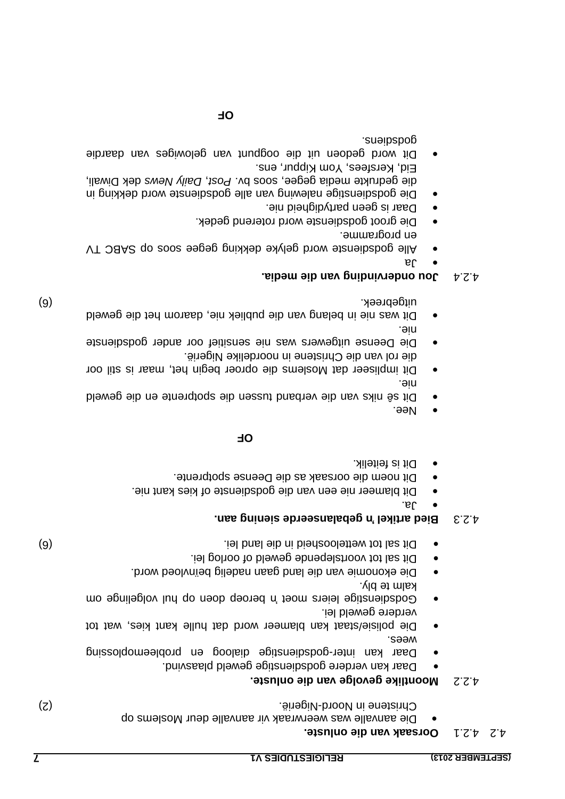|              | Nee.                                                                                                                                                                                                                                                                                                                                                                                                                                                       | $\bullet$ |                  |      |
|--------------|------------------------------------------------------------------------------------------------------------------------------------------------------------------------------------------------------------------------------------------------------------------------------------------------------------------------------------------------------------------------------------------------------------------------------------------------------------|-----------|------------------|------|
|              | <b>OL</b>                                                                                                                                                                                                                                                                                                                                                                                                                                                  |           |                  |      |
|              | Dit is feitelik.<br>Dit noem die oorsaak as die Deense spotprente.<br>Dit blameer nie een van die godsdienste of kies kant nie.<br>.al.<br>Bied artikel 'n gebalanseerde siening aan.                                                                                                                                                                                                                                                                      |           | E.S.t            |      |
| (9)          | Dit sal tot wetteloosheid in die land lei.<br>Dit sal tot voortslepende geweld of oorlog lei.<br>Die ekonomie van die land gaan nadelig beïnvloed word.<br>kalm te bly.<br>Godamstige leiers moet n' beroep doen op hul volgelinge om<br>verdere geweld lei.<br>Die polisie/staat kan blameer word dat hulle kant tries, wat tot<br>wees:<br>Daar kan inter-godsibenstige dialoog en probleemoplossing<br>Daar kan verdere godsdienstige geweld plaasvind. | $\bullet$ |                  |      |
| (z)          | Moontlike gevolge van die onluste.<br>Christene in Noord-Nigerië.<br>Die aanvalle was weerwraak vir aanvalle deur Moslems op<br>Oorsaak van die onluste.                                                                                                                                                                                                                                                                                                   |           | Z.Z<br>してヤ       | 7. L |
| $\mathbf{L}$ | <b>RELIGIESTUDIES V1</b>                                                                                                                                                                                                                                                                                                                                                                                                                                   |           | (SEPTEMBER 2013) |      |

### nie. Dit impliseer dat Moslems die oproer begin het, maar is stil oor die rol van die Christene in noordelike Nigerië.

Die Deense uitgewers was nie sensitief oor ander godsdienste nie.

Dit se niks van die verband tussen die spotprente en die geweld

• Dit was nie in belang van die publiek nie, daarom het die geweld (6) uitgebreek.

## **Jou ondervinding van die media.** 4.2.4

- $\mathbf{e}$
- Alle godsdienste word gelyke dekking gegee soos op SABC TV en programme.
- Die groot godsdienste word roterend gedek.
- o Daar is geen partydigheid nie.
- Die godsdienstige nalewing van alle godsdienste word dekking in die gedrukte media gegee, soos by. Post, Daily News dek Diwali, Eid, Kersfees, Yom Kippur, ens.
- Dit word gedoen uit die oogpunt van gelowiges van daardie godiens.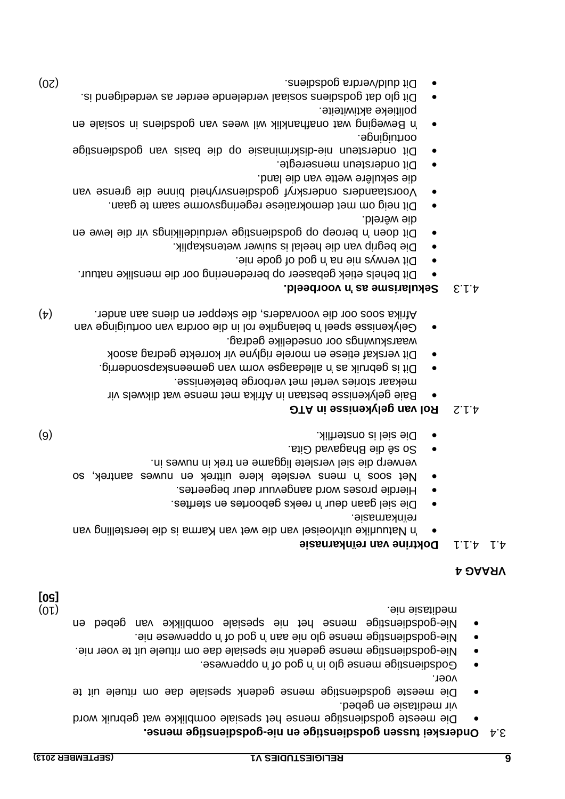## **3.4 Onderskei tussen godsdienstige en nie-godsdienstige mense.**

- Die meeste godsdienstige mense het spesiale oomblikke wat gebruik word vir meditasie en gebed.
- o Die meeste godsheuenstige mense gedenk spesiale dae om rituele uit te voer.
- . bodsementige mense glo in yog by the commese.
- gods die dange mense dedenk nie spesiale dae om rituele uit te voer nie.
- perwese nie. Operatige were die onder die opbetwee nie.
- godsdienstige mense het nie spesiale oomblikke van gebed en Nie (10) meditasie nie.

### **VRAAG 4**

## **nkarnasie ï Doktrine van re** 4.1.1 4.1

- 'n Natuurlike uitvloeisel van die wet van Karma is die leerstelling van reïnkarnasie.
- · Die siel gaan deur 'n reeks geboortes en sterftes.
- Hierdie proses word aangevuur deur begeertes.
- Net soos 'n mens verslete klere uittrek en nuwes aantrek, so
- . verwerp die siel verslete liggame en trek in nuwes in
- So sê die Bhagavad Gita.
- (6) . Die siel is onsterflik

## **Rol van gelykenisse in ATG** 4.1.2

- Baie gelykenisse bestaan in Afrika men mense wat dikwels vir mekaar stories vertel met verborge betekenisse.
- Dit is gebruik as 'n alledaagse vorm van gemeenskapsonderrig.
- Dit verskaf etiese en morele riglyne vir korrekte gedrag asook waarskuwings oor onsedelike gedrag.
- Gelykenisse speel 'n belangrike rol in die oordra van oortuiginge van . Afrika soos oor die voorvaders, die skepper en diens aan ander

## $(\dagger)$

## **voorbeeld. 'n Sekularisme as** 4.1.3

- behels etiek gebaseer op beredenering oor die menslike natuur. Dit
- e Dit verwys nie na 'n gode nie.
- Die begrip van die heelal is suiwer wetenskaplik.
- Dit doen 'n beroep op godsdienstige verduidelikings vir die lewe en .bletweld.
- · Dit neig om met demokratiese regeringsvorme saam te gaan.
- nders onderskryf godsdiensvryheid binne die grense van a Voorsta die sekulêre wette van die land.
- Dit ondersteun menseregte.
- Dit ondersteun nie-diskriminasie op die pasis van godsdiensteunge oortuiginge.
- wil Beweging wat onafhanklik wil wees van godsdiens in sosiale en politieke aktiwiteite.
- Dit glo dat godsdiens sosiaal verdelende eerder as verdedigend is.
- Dit duld/verdra godsbiens. And a sense is considered a sense in the consistency of  $\cos$

**[50]**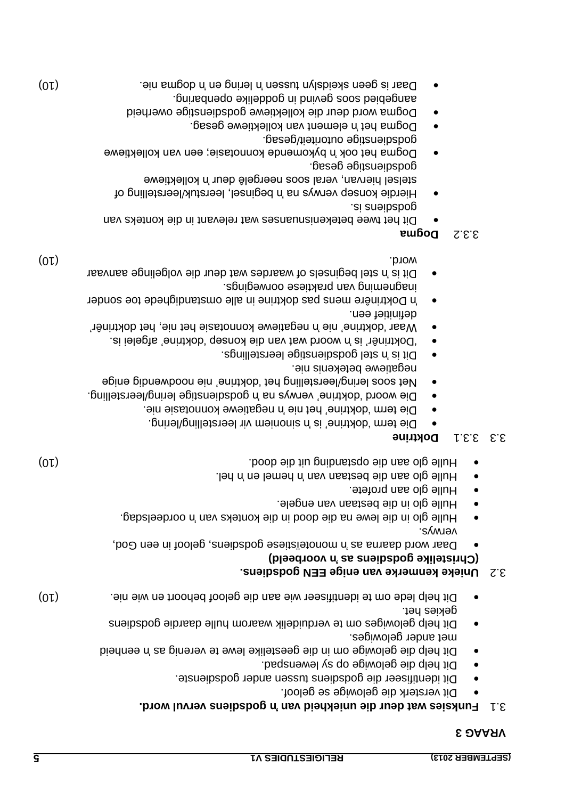### **VRAAG 3**

## **gods of the uniekheid wat deniekheid wat deur die uniekheid. The set of the set of the set of the set of the set of the set of the set of the set of the set of the set of the set of the set of the set of the set of the se**

- Dit versterk die gelowige se geloof.
- Dit identifiseer die godsdiens tussen ander godsdienste.
	-
- 
- Dit help die gelowige op sy lewenspad.
- eenheid in Dit help die gelowige om in die geestelike lewe te verenig as nie verheid
- met ander gelowiges. o Dit help gelowiges om te verduidelik waarom hulle daardie godsdiens
- gekies het. Dit help lede om te identifiseer wie aan die geloof behoort en wie nie.  $(01)$

## **Unieke kenmerke van enige EEN godsdiens.** 3.2

- **(Christelike godships as 'n voorbeeld)**
- Daar word daarna as 'n monoteïstiese godsleue, an dool dod,
- verwys. oordeelsdag. The lewe na die dood in die kontek van 'n oordeelsdag.
- o Hulle glo in die bestaan van engele.
- $\bullet$  Hulle glo aan profete.
- bel. Hulle glo aan die bestaan van 'n hemel en 'n Hel.
- Hulle glo aan die opstanding uit die dood. Doob aan die dood. Hulle gebouw van die dood. Hulle gebouw van die d

## **BOKTINE**

- Die term 'doktrine' is 'n Dienoniem vir leerstelling/lering.
- ongegative nie. In Die term is in Die deutsche verwalten vier
- Die woord 'doktrine' verwys na 'n godsdienstige lering/leerstelling. Net soos lering/leerstelling het 'doktrine' nie noodwendig enige negatiewe betekenis nie.
- spoilleiziesl godsbige leerstellings.
- "Doktrinêr' is 'n woord wat van die konsep 'doktrine' afgelei is.
- Waar 'doktrine' nie 'n negatiewe konnotasie het nie, het doktrinêr'
- definitief een. mens pas doktrine in alle omstandighede toe sonder Doktrinêre 'n inagneming van praktiese oorwegings.
- Dit is 'n stel beginsels of waardes wat deur die volgelinge aanvaar (10) word.

## **Dogma** 3.3.2

- Dit het twee betekenisnuanses wat relevant in die konteks van 's is ueipspob
- Hierdie konsep verwys na 'n beginsel, leerstuk/leerstelling of stelsel hiervan, veral soos neergelê deur 'n kollektiewe godsdienstige gesag.
- Dogma het ook 'n bykomende konnotasie; een van kollektiewe godsenstige outoriteit/gesag.
- Dogma het 'n element van kollektiewe gesag.
- Dogma word deur die kollektiewe godsdienstige owerheid
- geving is oor geving in goddelike openbaring.
- o Daar is geen skeidslyn tussen in en in dogma nie. Daar is geen in dot is geen in de 'n dot 'n dogma nie. De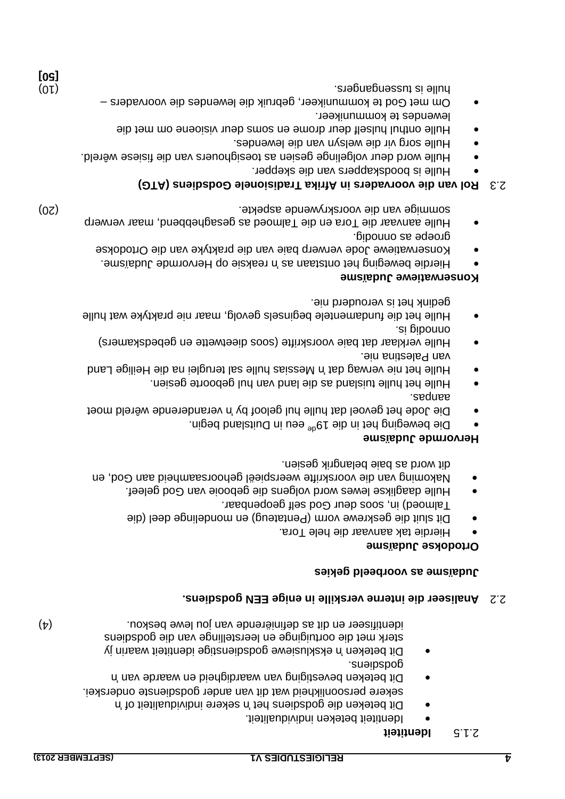### **Identiteit** 2.1.5

- Identiteit beteken individualiteit.
- Dit beteken die godsbiens het 'n bevere individualiteit of 'n
- sekere persoonlikheid wat dit van ander godsdienste onderskei. Dit beteken bevestiging van waardigheid en waarde van 'n godspots<sup>.</sup>
- Dit beteken 'n eksklusiewe godsdienstige identiteit waarin jy sterk met die oortuiginge en leerstellinge van die godsdiens (4) is inverser en dit as definiërende van jou lewe beskou.

## **Analiseer die interne verskille in enige EEN godsdiens.** 2.2

## **Judaïsme as voorbeeld gekies**

## **Judaïsme Ortodokse**

- Hierdie tak aanvaar die hele Tora.
- Dit sluit die geskrewe vorm (Pentateug) en mondelinge deel (die Talmoed) in, soos deur God self geopenbaar.
- Hulle daaglikse lewes word volgens die gebooie van God geleef.
- gehoorsaamheid aan God, en weerspieël Nakoming van die voorskrifte dit word as baie belangrik gesien.

## **Hervormde Judaïsme**

- Die beweging het in die 19<sup>ae ee</sup>u in Duitsland begin.
- out wetande wêreld weer as a principle in Die Die Angles and a between the moet aanpas.
- Hulle het hulle tuisland as die land van hul geboorte gesien.
- eilige Land H Messias hulle saiss hulle sal teruglei na die Heilige Land van Palestina nie.
- Hulle verklaar dat baie voorskrifte (soos dieetwette en gebedskamers) onnodig is.
- Hulle het die fundamentele beginsels gevolg, maar nie praktyke wat hulle gedink het is verouderd nie.

## **Konserwatiewe Judaïsme**

- Hierdie beweging het ontstaan as 'n eaksie op Hervormde Judaïsme.
- Konserwatiewe Jode verwerp baie van die praktyke van die Ortodokse groepe as onnodig.
- Hulle aanvaar die Tora en die Talmoed as gesaghebbend, maar verwerp (20) van die voorskrywende aspekte. sommige

## **(OTA)** and the overaget and consignational codes from  $\epsilon$ .

- Hulle is boodskappers van die skepper.
- . Wille word deur volgelinge gesien as toesighouers van die fisiese wêreld.
- lulle sorg vir die welsyn van die lewendes.
- Hulle onthul hulself deur drome en soms deur visioene om met die
- lewendes te kommunikeer. – Om met God te kommunikeer, gebruik die lewendes die voorvaders  $(0)$  hulle is tussengangers. The intervals of  $(10)$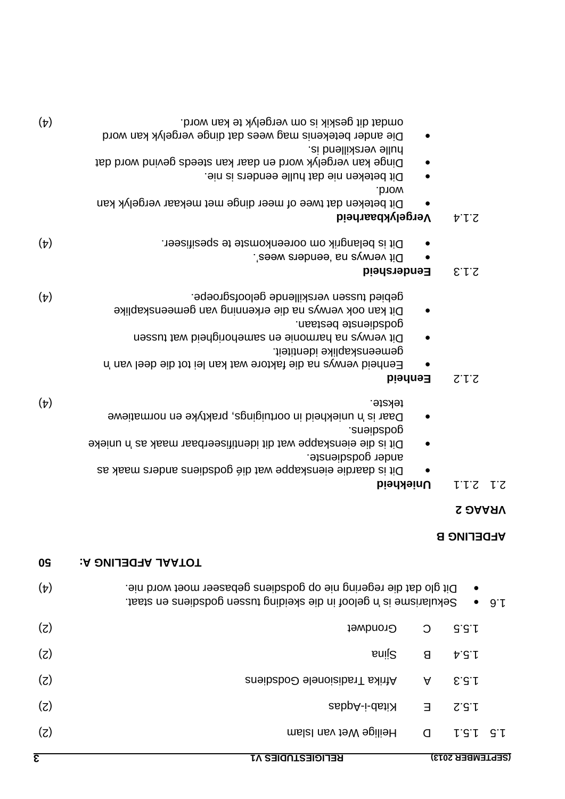| 0S         | <b>A SUIT AFDELING A:</b>                                                                                                              |          |                        |        |
|------------|----------------------------------------------------------------------------------------------------------------------------------------|----------|------------------------|--------|
| $(\nabla)$ | Dit glo dat die regering nie op godsdiens gebaseer moet word nie.<br>Sekularisme is ngeloof in die skeiding tussen godsbiens en staat. |          | $\bullet$<br>$\bullet$ | . 9. r |
| (z)        | Grondwet                                                                                                                               | $\Omega$ | G.G.L                  |        |
| (z)        | snij2                                                                                                                                  | 8        | b.5.1                  |        |
| (z)        | <b>Afrika Tradisionele Godsens</b>                                                                                                     | A        | 5.3.1                  |        |
| (z)        | Ritab-i-datiX                                                                                                                          | Е        | $Z^{\prime}S^{\prime}$ |        |
| (z)        | malal mey teW spilleH                                                                                                                  | $\Omega$ | $L$ $G$ $L$            | -G. h  |
| 3          | <b>RELIGIESTUDIES V1</b>                                                                                                               |          | (SEPTEMBER 2013)       |        |

## **AFDELING B**

## **VRAAG 2**

## **Uniekheid** 2.1.1 2.1

| $\sim$                                                     |
|------------------------------------------------------------|
| ander godsdienste.                                         |
| Dit is daardie eienskappe wat dié godschens anders maak as |
|                                                            |

- DII is die eienskappe wat dit identifiseerbaar maak as 'n unieke sueipspo6
- uniekheid in oortuigings, praktyke en normatiewe 'n Daar is (4) tekste.

## **Eenheid** 2.1.2

| Dit verwys na harmonie en samehorigheid wat tussen            |
|---------------------------------------------------------------|
| gemeenskaplike identiteit.                                    |
| Eenheid van ys na die faktore wat kan lei tot die deel van 'n |

godsdienste bestaan. Dit kan ook verwys na die erkenning van gemeenskaplike (4) gebied tussen verskillende geloofsgroepe.

## **Eendersheid** 2.1.3

- or Dit verwys na 'eenders wees'.
- Dit is belangrik om ooreenkomste te spesifiseer. (4)

## **Vergelykbaarheid** 2.1.4

- Dit beteken dat twee of meer dinge met mekaar vergelyk kan word.
- Dit beteken nie dat hulle eenders is nie.
- Dinge kan vergelyk word en daar kan steeds gevind word dat hulle verskillend is.
- Die ander betekenis mag wees dat dinge vergelyk kan word omdat dit geskik is om vergelyk te kan word. (4)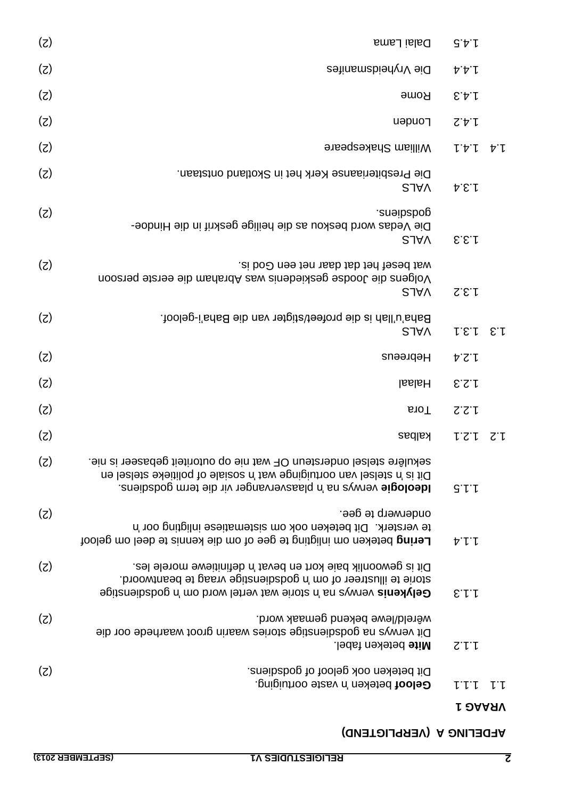## **AFDELING A (VERPLIGTEND)**

vaste oortuiging. 'n beteken **Geloof** 1.1.1 1.1

## **VRAAG 1**

| (z) | Dalai Lama                                                                                                                                                                                                           | $G \triangleright \iota$ |                |
|-----|----------------------------------------------------------------------------------------------------------------------------------------------------------------------------------------------------------------------|--------------------------|----------------|
| (5) | Die Vryheidsmanifes                                                                                                                                                                                                  | ヤヤし                      |                |
| (5) | <b>Rome</b>                                                                                                                                                                                                          | 5.4.1                    |                |
| (z) | Londen                                                                                                                                                                                                               | 2.4.1                    |                |
| (5) | <b>William Shakespeare</b>                                                                                                                                                                                           | レヤレ                      | $\nabla \cdot$ |
| (z) | Die Presbiteriaanse Kerk het in Skotland ontstaan.<br><b>SJAV</b>                                                                                                                                                    | A.5.1                    |                |
| (z) | suəib abo<br>Die Vedas word beskou as die heilige geskrif in die Hindoe-<br><b>SJAV</b>                                                                                                                              | E.E.f                    |                |
| (z) | wat besef het dat daar net een God is.<br>Volgens dib Joodse geskiedenis was Abraham die eerste persoon<br><b>SJAV</b>                                                                                               | S.E.                     |                |
| (z) | Baha'u'llah is die profeet/stigter van die Baha'i-geloof.<br><b>SJAV</b>                                                                                                                                             | 1.5.1 E.1                |                |
| (z) | Hepreeus                                                                                                                                                                                                             | 1.2.4                    |                |
| (z) | <b>laslaH</b>                                                                                                                                                                                                        | 5.2.1                    |                |
| (5) | sioT                                                                                                                                                                                                                 | 2.2.1                    |                |
| (z) | kalbas                                                                                                                                                                                                               | L2.1                     | てし             |
| (z) | sekulêre stelsel ondersteun OF wat nie op outoriteit gebaseer is nie.<br>Dit is 'n stelsel van oortuiginge wat 'n sosiale of politieke stelsel en<br>Ideologie verwys na 'n plaasvervanger vir die term godsdiens.   | $G' \cup L$              |                |
| (z) | onderwerp te gee.<br>te versterk. Dit beteken ook om sistematiese inligting oor 'n<br><b>Lering beteken om inligting te gee of om die kennis te deel om geloof</b>                                                   | ヤー                       |                |
| (z) | Dit is gewoonlik baie kort en bevat 'n definitiewe morele les.<br>storie te illustreer of om 'n godsdienstige vraag te beantwoord.<br><b>Gelykenis verwys na <i>n</i></b> storie wat vertel word om 'n godsdienstige | E.L.                     |                |
| (5) | wêreld/lewe bekend gemaak word.<br>Dit verwys na godsdienstige stories waarin groot waarhede oor die<br>Mite beteken fabel.                                                                                          | 2.1.1                    |                |
| (z) | Dit beteken ook geloof of godsdiens.                                                                                                                                                                                 |                          |                |